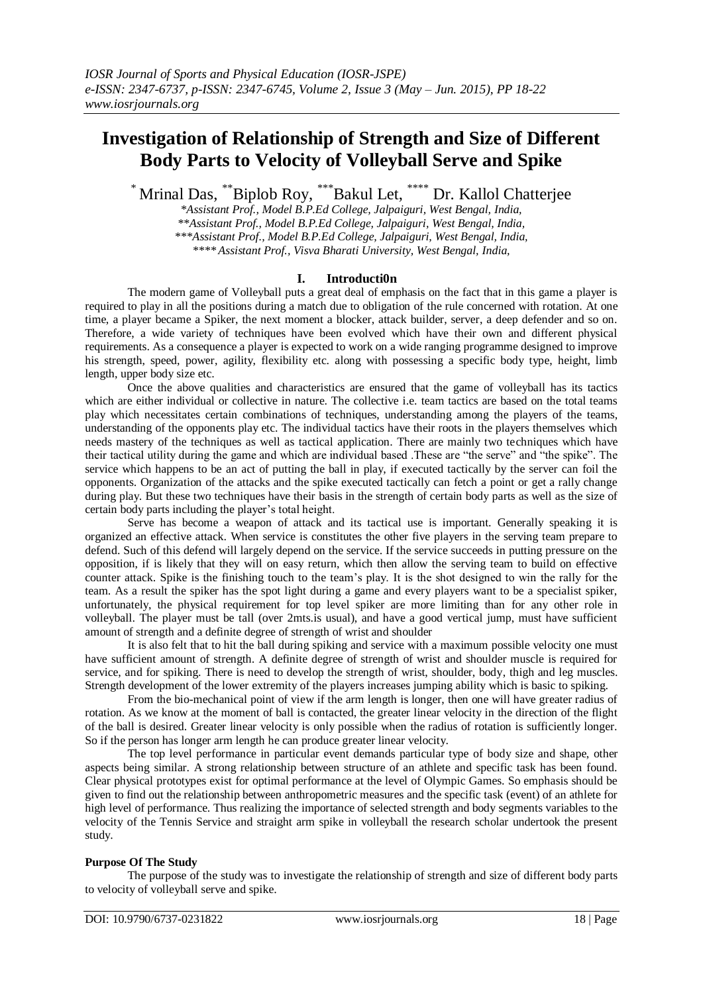# **Investigation of Relationship of Strength and Size of Different Body Parts to Velocity of Volleyball Serve and Spike**

\* Mrinal Das, \*\*Biplob Roy, \*\*\*Bakul Let, \*\*\*\* Dr. Kallol Chatterjee

*\*Assistant Prof., Model B.P.Ed College, Jalpaiguri, West Bengal, India, \*\*Assistant Prof., Model B.P.Ed College, Jalpaiguri, West Bengal, India, \*\*\*Assistant Prof., Model B.P.Ed College, Jalpaiguri, West Bengal, India, \*\*\*\* Assistant Prof., Visva Bharati University, West Bengal, India,*

### **I. Introducti0n**

The modern game of Volleyball puts a great deal of emphasis on the fact that in this game a player is required to play in all the positions during a match due to obligation of the rule concerned with rotation. At one time, a player became a Spiker, the next moment a blocker, attack builder, server, a deep defender and so on. Therefore, a wide variety of techniques have been evolved which have their own and different physical requirements. As a consequence a player is expected to work on a wide ranging programme designed to improve his strength, speed, power, agility, flexibility etc. along with possessing a specific body type, height, limb length, upper body size etc.

Once the above qualities and characteristics are ensured that the game of volleyball has its tactics which are either individual or collective in nature. The collective i.e. team tactics are based on the total teams play which necessitates certain combinations of techniques, understanding among the players of the teams, understanding of the opponents play etc. The individual tactics have their roots in the players themselves which needs mastery of the techniques as well as tactical application. There are mainly two techniques which have their tactical utility during the game and which are individual based .These are "the serve" and "the spike". The service which happens to be an act of putting the ball in play, if executed tactically by the server can foil the opponents. Organization of the attacks and the spike executed tactically can fetch a point or get a rally change during play. But these two techniques have their basis in the strength of certain body parts as well as the size of certain body parts including the player's total height.

Serve has become a weapon of attack and its tactical use is important. Generally speaking it is organized an effective attack. When service is constitutes the other five players in the serving team prepare to defend. Such of this defend will largely depend on the service. If the service succeeds in putting pressure on the opposition, if is likely that they will on easy return, which then allow the serving team to build on effective counter attack. Spike is the finishing touch to the team's play. It is the shot designed to win the rally for the team. As a result the spiker has the spot light during a game and every players want to be a specialist spiker, unfortunately, the physical requirement for top level spiker are more limiting than for any other role in volleyball. The player must be tall (over 2mts.is usual), and have a good vertical jump, must have sufficient amount of strength and a definite degree of strength of wrist and shoulder

It is also felt that to hit the ball during spiking and service with a maximum possible velocity one must have sufficient amount of strength. A definite degree of strength of wrist and shoulder muscle is required for service, and for spiking. There is need to develop the strength of wrist, shoulder, body, thigh and leg muscles. Strength development of the lower extremity of the players increases jumping ability which is basic to spiking.

From the bio-mechanical point of view if the arm length is longer, then one will have greater radius of rotation. As we know at the moment of ball is contacted, the greater linear velocity in the direction of the flight of the ball is desired. Greater linear velocity is only possible when the radius of rotation is sufficiently longer. So if the person has longer arm length he can produce greater linear velocity.

The top level performance in particular event demands particular type of body size and shape, other aspects being similar. A strong relationship between structure of an athlete and specific task has been found. Clear physical prototypes exist for optimal performance at the level of Olympic Games. So emphasis should be given to find out the relationship between anthropometric measures and the specific task (event) of an athlete for high level of performance. Thus realizing the importance of selected strength and body segments variables to the velocity of the Tennis Service and straight arm spike in volleyball the research scholar undertook the present study.

#### **Purpose Of The Study**

The purpose of the study was to investigate the relationship of strength and size of different body parts to velocity of volleyball serve and spike.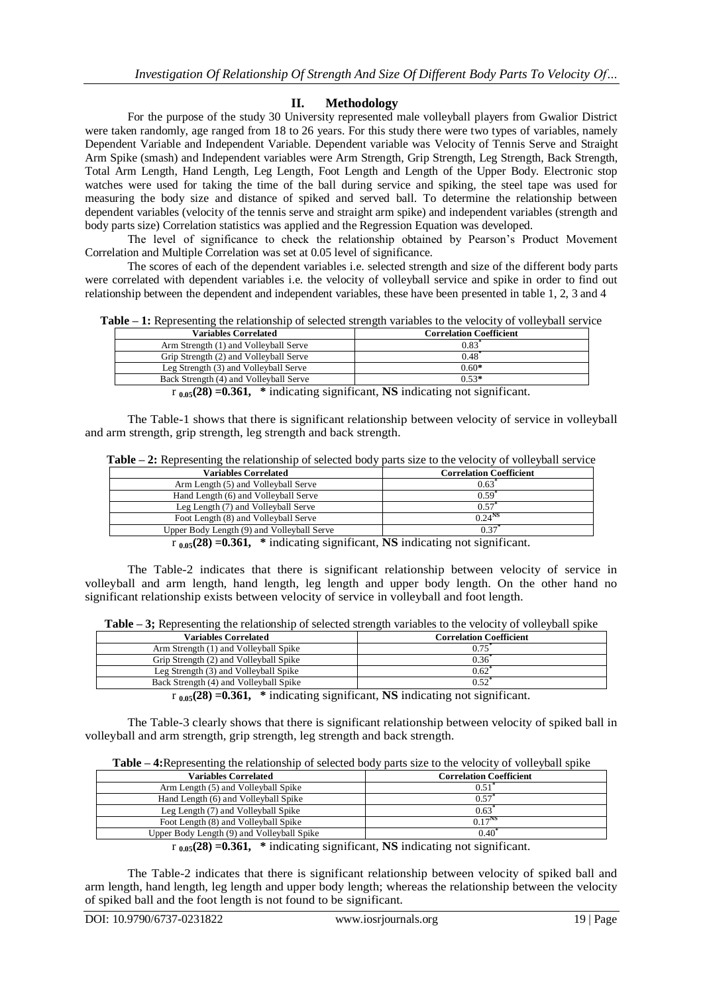## **II. Methodology**

For the purpose of the study 30 University represented male volleyball players from Gwalior District were taken randomly, age ranged from 18 to 26 years. For this study there were two types of variables, namely Dependent Variable and Independent Variable. Dependent variable was Velocity of Tennis Serve and Straight Arm Spike (smash) and Independent variables were Arm Strength, Grip Strength, Leg Strength, Back Strength, Total Arm Length, Hand Length, Leg Length, Foot Length and Length of the Upper Body. Electronic stop watches were used for taking the time of the ball during service and spiking, the steel tape was used for measuring the body size and distance of spiked and served ball. To determine the relationship between dependent variables (velocity of the tennis serve and straight arm spike) and independent variables (strength and body parts size) Correlation statistics was applied and the Regression Equation was developed.

The level of significance to check the relationship obtained by Pearson's Product Movement Correlation and Multiple Correlation was set at 0.05 level of significance.

The scores of each of the dependent variables i.e. selected strength and size of the different body parts were correlated with dependent variables i.e. the velocity of volleyball service and spike in order to find out relationship between the dependent and independent variables, these have been presented in table 1, 2, 3 and 4

**Table – 1:** Representing the relationship of selected strength variables to the velocity of volleyball service

| <b>Variables Correlated</b>            | <b>Correlation Coefficient</b> |
|----------------------------------------|--------------------------------|
| Arm Strength (1) and Volleyball Serve  | 0.83                           |
| Grip Strength (2) and Volleyball Serve | $0.48^{\degree}$               |
| Leg Strength (3) and Volleyball Serve  | $0.60*$                        |
| Back Strength (4) and Volleyball Serve | $0.53*$                        |
|                                        | .                              |

r **0.05(28) =0.361, \*** indicating significant, **NS** indicating not significant.

The Table-1 shows that there is significant relationship between velocity of service in volleyball and arm strength, grip strength, leg strength and back strength.

| Variables Correlated                                                                                        | <b>Correlation Coefficient</b> |
|-------------------------------------------------------------------------------------------------------------|--------------------------------|
| Arm Length (5) and Volleyball Serve                                                                         | $0.63^*$                       |
| Hand Length (6) and Volleyball Serve                                                                        | $0.59$ <sup>*</sup>            |
| Leg Length (7) and Volleyball Serve                                                                         | 0.57                           |
| Foot Length (8) and Volleyball Serve                                                                        | $0.24^{N}$                     |
| Upper Body Length (9) and Volleyball Serve                                                                  | 0.37                           |
| $\mathcal{L} = (90) - 0.261 - 2.44$ is denoted a second second. MC in direction was about $\mathcal{L}$ and |                                |

r **0.05(28) =0.361, \*** indicating significant, **NS** indicating not significant.

The Table-2 indicates that there is significant relationship between velocity of service in volleyball and arm length, hand length, leg length and upper body length. On the other hand no significant relationship exists between velocity of service in volleyball and foot length.

**Table – 3;** Representing the relationship of selected strength variables to the velocity of volleyball spike

| <b>Variables Correlated</b>            | <b>Correlation Coefficient</b> |
|----------------------------------------|--------------------------------|
| Arm Strength (1) and Volleyball Spike  | 0.75                           |
| Grip Strength (2) and Volleyball Spike | 0.36                           |
| Leg Strength (3) and Volleyball Spike  | 0.62                           |
| Back Strength (4) and Volleyball Spike | $0.52^*$                       |

 $\mathbf{r}_{0.05}(28) = 0.361$ , \* indicating significant, **NS** indicating not significant.

The Table-3 clearly shows that there is significant relationship between velocity of spiked ball in volleyball and arm strength, grip strength, leg strength and back strength.

| -------                                    | $\ldots$                       |
|--------------------------------------------|--------------------------------|
| Variables Correlated                       | <b>Correlation Coefficient</b> |
| Arm Length (5) and Volleyball Spike        | 0.5 <sup>1</sup>               |
| Hand Length (6) and Volleyball Spike       | 0.57                           |
| Leg Length (7) and Volleyball Spike        | 0.63                           |
| Foot Length (8) and Volleyball Spike       | $0.17^{NS}$                    |
| Upper Body Length (9) and Volleyball Spike | $0.40^{\circ}$                 |
| $\sim$                                     | $\cdots$                       |

r **0.05(28) =0.361, \*** indicating significant, **NS** indicating not significant.

The Table-2 indicates that there is significant relationship between velocity of spiked ball and arm length, hand length, leg length and upper body length; whereas the relationship between the velocity of spiked ball and the foot length is not found to be significant.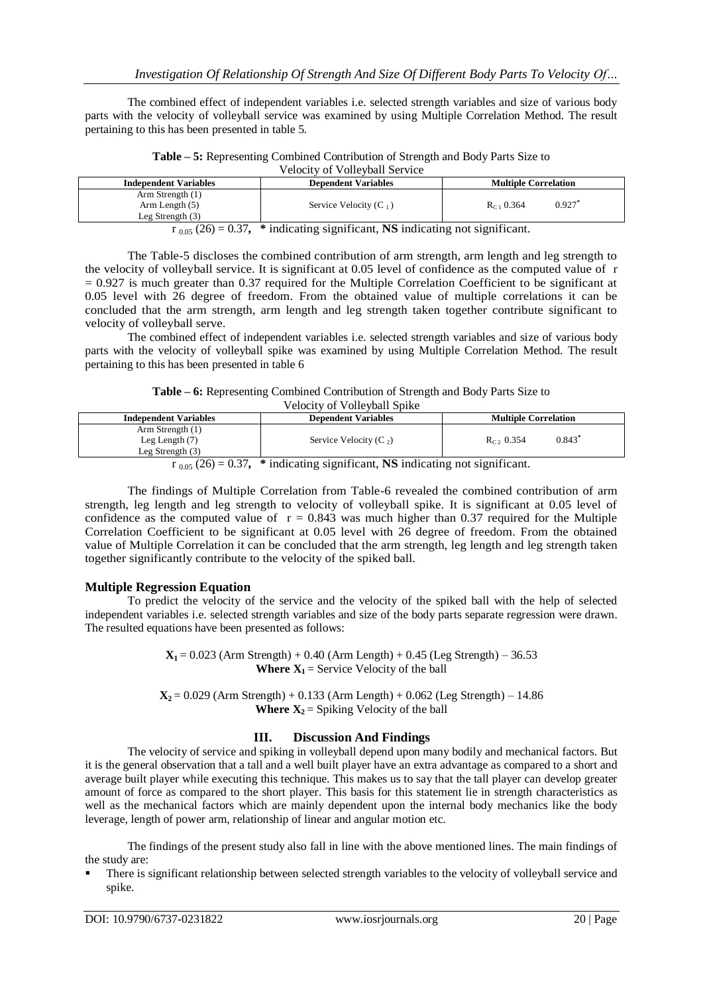The combined effect of independent variables i.e. selected strength variables and size of various body parts with the velocity of volleyball service was examined by using Multiple Correlation Method. The result pertaining to this has been presented in table 5.

**Table – 5:** Representing Combined Contribution of Strength and Body Parts Size to Velocity of Volleyball Service

| <b>Independent Variables</b>                                             | <b>Dependent Variables</b> | <b>Multiple Correlation</b> |  |
|--------------------------------------------------------------------------|----------------------------|-----------------------------|--|
| Arm Strength (1)                                                         |                            |                             |  |
| Arm Length $(5)$                                                         | Service Velocity $(C_1)$   | 0.927<br>$R_{C1}$ 0.364     |  |
| Leg Strength $(3)$                                                       |                            |                             |  |
| $(26)$ $(27)$ $\pm$ indicating significant NR indicating not significant |                            |                             |  |

r 0.05 (26) = 0.37**, \*** indicating significant, **NS** indicating not significant.

The Table-5 discloses the combined contribution of arm strength, arm length and leg strength to the velocity of volleyball service. It is significant at 0.05 level of confidence as the computed value of r  $= 0.927$  is much greater than 0.37 required for the Multiple Correlation Coefficient to be significant at 0.05 level with 26 degree of freedom. From the obtained value of multiple correlations it can be concluded that the arm strength, arm length and leg strength taken together contribute significant to velocity of volleyball serve.

The combined effect of independent variables i.e. selected strength variables and size of various body parts with the velocity of volleyball spike was examined by using Multiple Correlation Method. The result pertaining to this has been presented in table 6

**Table – 6:** Representing Combined Contribution of Strength and Body Parts Size to

Velocity of Volleyball Spike

| <b>Independent Variables</b> | <b>Dependent Variables</b> | <b>Multiple Correlation</b> |
|------------------------------|----------------------------|-----------------------------|
| Arm Strength (1)             |                            |                             |
| Leg Length $(7)$             | Service Velocity (C $_2$ ) | 0.843<br>$R_C$ , 0.354      |
| Leg Strength $(3)$           |                            |                             |
| $\sim$ $\sim$                | $\sim$                     | $\sim$ $\sim$               |

 $r_{0.05}$  (26) = 0.37,  $*$  indicating significant, **NS** indicating not significant.

The findings of Multiple Correlation from Table-6 revealed the combined contribution of arm strength, leg length and leg strength to velocity of volleyball spike. It is significant at 0.05 level of confidence as the computed value of  $r = 0.843$  was much higher than 0.37 required for the Multiple Correlation Coefficient to be significant at 0.05 level with 26 degree of freedom. From the obtained value of Multiple Correlation it can be concluded that the arm strength, leg length and leg strength taken together significantly contribute to the velocity of the spiked ball.

### **Multiple Regression Equation**

To predict the velocity of the service and the velocity of the spiked ball with the help of selected independent variables i.e. selected strength variables and size of the body parts separate regression were drawn. The resulted equations have been presented as follows:

> $X_1 = 0.023$  (Arm Strength) + 0.40 (Arm Length) + 0.45 (Leg Strength) – 36.53 **Where**  $X_1$  = Service Velocity of the ball

 $X_2 = 0.029$  (Arm Strength) + 0.133 (Arm Length) + 0.062 (Leg Strength) – 14.86 **Where**  $X_2$  = Spiking Velocity of the ball

### **III. Discussion And Findings**

The velocity of service and spiking in volleyball depend upon many bodily and mechanical factors. But it is the general observation that a tall and a well built player have an extra advantage as compared to a short and average built player while executing this technique. This makes us to say that the tall player can develop greater amount of force as compared to the short player. This basis for this statement lie in strength characteristics as well as the mechanical factors which are mainly dependent upon the internal body mechanics like the body leverage, length of power arm, relationship of linear and angular motion etc.

The findings of the present study also fall in line with the above mentioned lines. The main findings of the study are:

 There is significant relationship between selected strength variables to the velocity of volleyball service and spike.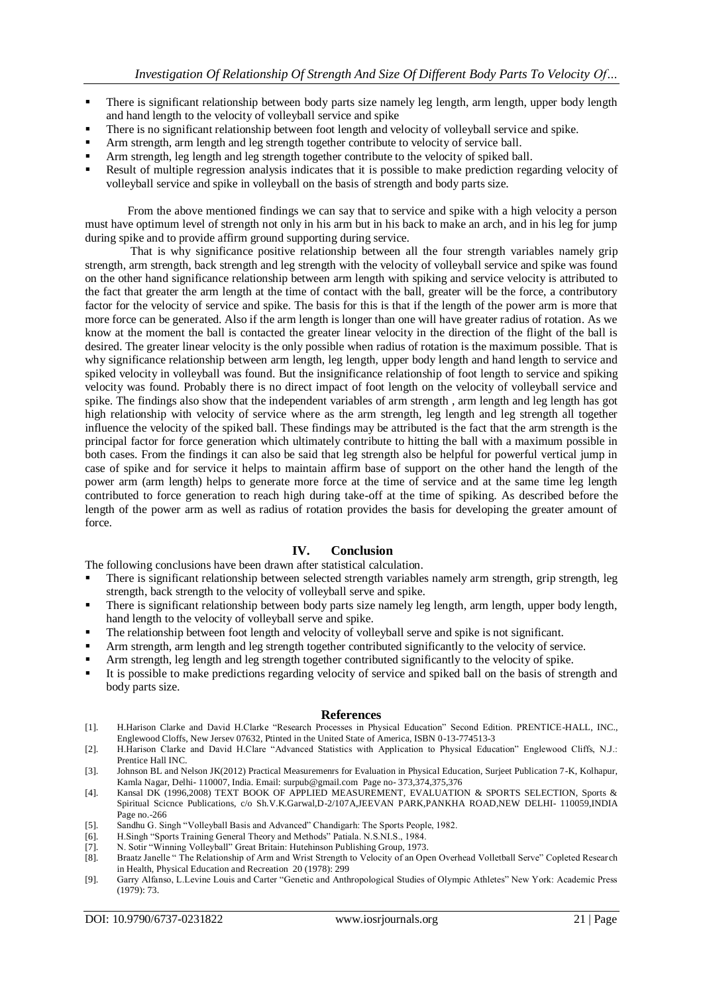- There is significant relationship between body parts size namely leg length, arm length, upper body length and hand length to the velocity of volleyball service and spike
- There is no significant relationship between foot length and velocity of volleyball service and spike.
- Arm strength, arm length and leg strength together contribute to velocity of service ball.
- Arm strength, leg length and leg strength together contribute to the velocity of spiked ball.
- Result of multiple regression analysis indicates that it is possible to make prediction regarding velocity of volleyball service and spike in volleyball on the basis of strength and body parts size.

From the above mentioned findings we can say that to service and spike with a high velocity a person must have optimum level of strength not only in his arm but in his back to make an arch, and in his leg for jump during spike and to provide affirm ground supporting during service.

That is why significance positive relationship between all the four strength variables namely grip strength, arm strength, back strength and leg strength with the velocity of volleyball service and spike was found on the other hand significance relationship between arm length with spiking and service velocity is attributed to the fact that greater the arm length at the time of contact with the ball, greater will be the force, a contributory factor for the velocity of service and spike. The basis for this is that if the length of the power arm is more that more force can be generated. Also if the arm length is longer than one will have greater radius of rotation. As we know at the moment the ball is contacted the greater linear velocity in the direction of the flight of the ball is desired. The greater linear velocity is the only possible when radius of rotation is the maximum possible. That is why significance relationship between arm length, leg length, upper body length and hand length to service and spiked velocity in volleyball was found. But the insignificance relationship of foot length to service and spiking velocity was found. Probably there is no direct impact of foot length on the velocity of volleyball service and spike. The findings also show that the independent variables of arm strength , arm length and leg length has got high relationship with velocity of service where as the arm strength, leg length and leg strength all together influence the velocity of the spiked ball. These findings may be attributed is the fact that the arm strength is the principal factor for force generation which ultimately contribute to hitting the ball with a maximum possible in both cases. From the findings it can also be said that leg strength also be helpful for powerful vertical jump in case of spike and for service it helps to maintain affirm base of support on the other hand the length of the power arm (arm length) helps to generate more force at the time of service and at the same time leg length contributed to force generation to reach high during take-off at the time of spiking. As described before the length of the power arm as well as radius of rotation provides the basis for developing the greater amount of force.

### **IV. Conclusion**

The following conclusions have been drawn after statistical calculation.

- There is significant relationship between selected strength variables namely arm strength, grip strength, leg strength, back strength to the velocity of volleyball serve and spike.
- There is significant relationship between body parts size namely leg length, arm length, upper body length, hand length to the velocity of volleyball serve and spike.
- The relationship between foot length and velocity of volleyball serve and spike is not significant.
- Arm strength, arm length and leg strength together contributed significantly to the velocity of service.
- Arm strength, leg length and leg strength together contributed significantly to the velocity of spike.
- It is possible to make predictions regarding velocity of service and spiked ball on the basis of strength and body parts size.

#### **References**

- [1]. H.Harison Clarke and David H.Clarke "Research Processes in Physical Education" Second Edition. PRENTICE-HALL, INC., Englewood Cloffs, New Jersev 07632, Ptinted in the United State of America, ISBN 0-13-774513-3
- [2]. H.Harison Clarke and David H.Clare "Advanced Statistics with Application to Physical Education" Englewood Cliffs, N.J.: Prentice Hall INC.
- [3]. Johnson BL and Nelson JK(2012) Practical Measuremenrs for Evaluation in Physical Education, Surjeet Publication 7-K, Kolhapur, Kamla Nagar, Delhi- 110007, India. Email: [surpub@gmail.com](mailto:surpub@gmail.com) Page no- 373,374,375,376
- [4]. Kansal DK (1996,2008) TEXT BOOK OF APPLIED MEASUREMENT, EVALUATION & SPORTS SELECTION, Sports & Spiritual Scicnce Publications, c/o Sh.V.K.Garwal,D-2/107A,JEEVAN PARK,PANKHA ROAD,NEW DELHI- 110059,INDIA Page no.-266
- [5]. Sandhu G. Singh "Volleyball Basis and Advanced" Chandigarh: The Sports People, 1982.
- [6]. H.Singh "Sports Training General Theory and Methods" Patiala. N.S.NI.S., 1984.
- [7]. N. Sotir "Winning Volleyball" Great Britain: Hutehinson Publishing Group, 1973.
- [8]. Braatz Janelle " The Relationship of Arm and Wrist Strength to Velocity of an Open Overhead Volletball Serve" Copleted Resear ch in Health, Physical Education and Recreation 20 (1978): 299
- [9]. Garry Alfanso, L.Levine Louis and Carter "Genetic and Anthropological Studies of Olympic Athletes" New York: Academic Press (1979): 73.